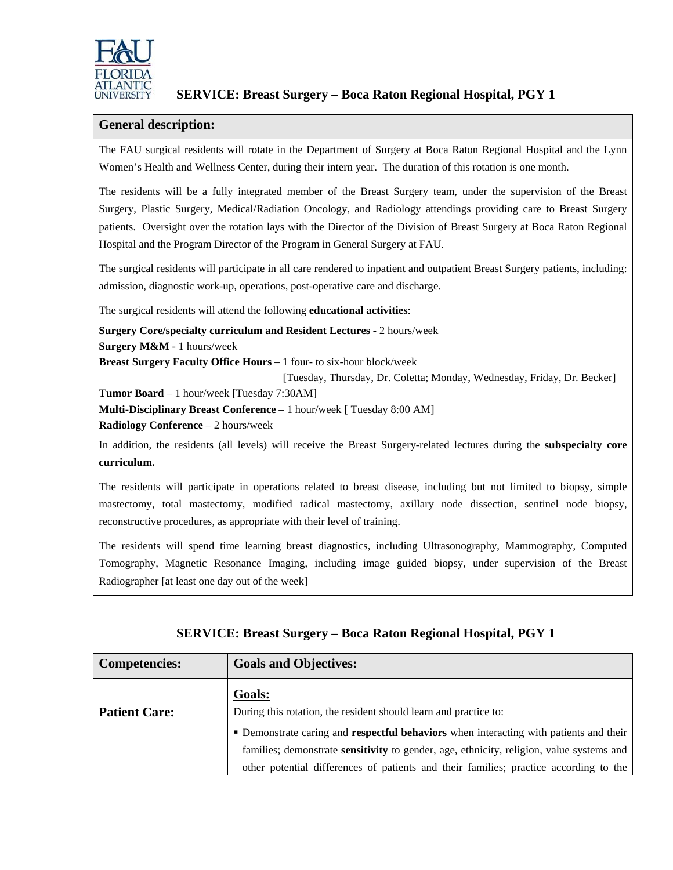

## **SERVICE: Breast Surgery – Boca Raton Regional Hospital, PGY 1**

#### **General description:**

The FAU surgical residents will rotate in the Department of Surgery at Boca Raton Regional Hospital and the Lynn Women's Health and Wellness Center, during their intern year. The duration of this rotation is one month.

The residents will be a fully integrated member of the Breast Surgery team, under the supervision of the Breast Surgery, Plastic Surgery, Medical/Radiation Oncology, and Radiology attendings providing care to Breast Surgery patients. Oversight over the rotation lays with the Director of the Division of Breast Surgery at Boca Raton Regional Hospital and the Program Director of the Program in General Surgery at FAU.

The surgical residents will participate in all care rendered to inpatient and outpatient Breast Surgery patients, including: admission, diagnostic work-up, operations, post-operative care and discharge.

The surgical residents will attend the following **educational activities**:

**Surgery Core/specialty curriculum and Resident Lectures** - 2 hours/week **Surgery M&M** - 1 hours/week

**Breast Surgery Faculty Office Hours** – 1 four- to six-hour block/week

[Tuesday, Thursday, Dr. Coletta; Monday, Wednesday, Friday, Dr. Becker]

**Tumor Board** – 1 hour/week [Tuesday 7:30AM]

**Multi-Disciplinary Breast Conference** – 1 hour/week [ Tuesday 8:00 AM]

**Radiology Conference** – 2 hours/week

In addition, the residents (all levels) will receive the Breast Surgery-related lectures during the **subspecialty core curriculum.**

The residents will participate in operations related to breast disease, including but not limited to biopsy, simple mastectomy, total mastectomy, modified radical mastectomy, axillary node dissection, sentinel node biopsy, reconstructive procedures, as appropriate with their level of training.

The residents will spend time learning breast diagnostics, including Ultrasonography, Mammography, Computed Tomography, Magnetic Resonance Imaging, including image guided biopsy, under supervision of the Breast Radiographer [at least one day out of the week]

| <b>Competencies:</b> | <b>Goals and Objectives:</b>                                                                    |  |
|----------------------|-------------------------------------------------------------------------------------------------|--|
| <b>Patient Care:</b> | Goals:<br>During this rotation, the resident should learn and practice to:                      |  |
|                      | • Demonstrate caring and respectful behaviors when interacting with patients and their          |  |
|                      | families; demonstrate <b>sensitivity</b> to gender, age, ethnicity, religion, value systems and |  |
|                      | other potential differences of patients and their families; practice according to the           |  |

## **SERVICE: Breast Surgery – Boca Raton Regional Hospital, PGY 1**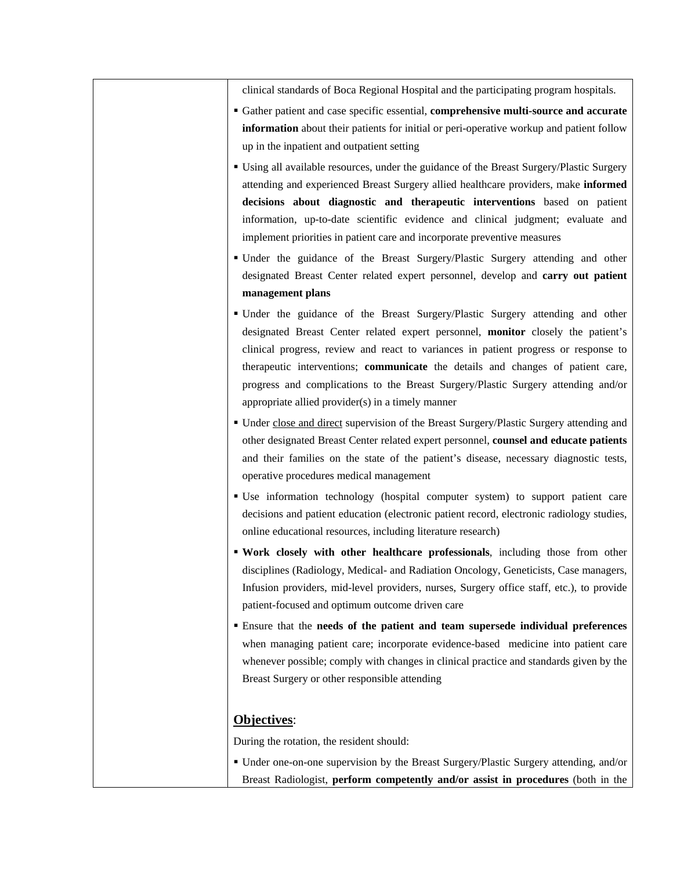clinical standards of Boca Regional Hospital and the participating program hospitals.

- Gather patient and case specific essential, **comprehensive multi-source and accurate information** about their patients for initial or peri-operative workup and patient follow up in the inpatient and outpatient setting
- Using all available resources, under the guidance of the Breast Surgery/Plastic Surgery attending and experienced Breast Surgery allied healthcare providers, make **informed decisions about diagnostic and therapeutic interventions** based on patient information, up-to-date scientific evidence and clinical judgment; evaluate and implement priorities in patient care and incorporate preventive measures
- Under the guidance of the Breast Surgery/Plastic Surgery attending and other designated Breast Center related expert personnel, develop and **carry out patient management plans**
- Under the guidance of the Breast Surgery/Plastic Surgery attending and other designated Breast Center related expert personnel, **monitor** closely the patient's clinical progress, review and react to variances in patient progress or response to therapeutic interventions; **communicate** the details and changes of patient care, progress and complications to the Breast Surgery/Plastic Surgery attending and/or appropriate allied provider(s) in a timely manner
- Under close and direct supervision of the Breast Surgery/Plastic Surgery attending and other designated Breast Center related expert personnel, **counsel and educate patients** and their families on the state of the patient's disease, necessary diagnostic tests, operative procedures medical management
- Use information technology (hospital computer system) to support patient care decisions and patient education (electronic patient record, electronic radiology studies, online educational resources, including literature research)
- **Work closely with other healthcare professionals**, including those from other disciplines (Radiology, Medical- and Radiation Oncology, Geneticists, Case managers, Infusion providers, mid-level providers, nurses, Surgery office staff, etc.), to provide patient-focused and optimum outcome driven care
- Ensure that the **needs of the patient and team supersede individual preferences** when managing patient care; incorporate evidence-based medicine into patient care whenever possible; comply with changes in clinical practice and standards given by the Breast Surgery or other responsible attending

#### **Objectives**:

During the rotation, the resident should:

 Under one-on-one supervision by the Breast Surgery/Plastic Surgery attending, and/or Breast Radiologist, **perform competently and/or assist in procedures** (both in the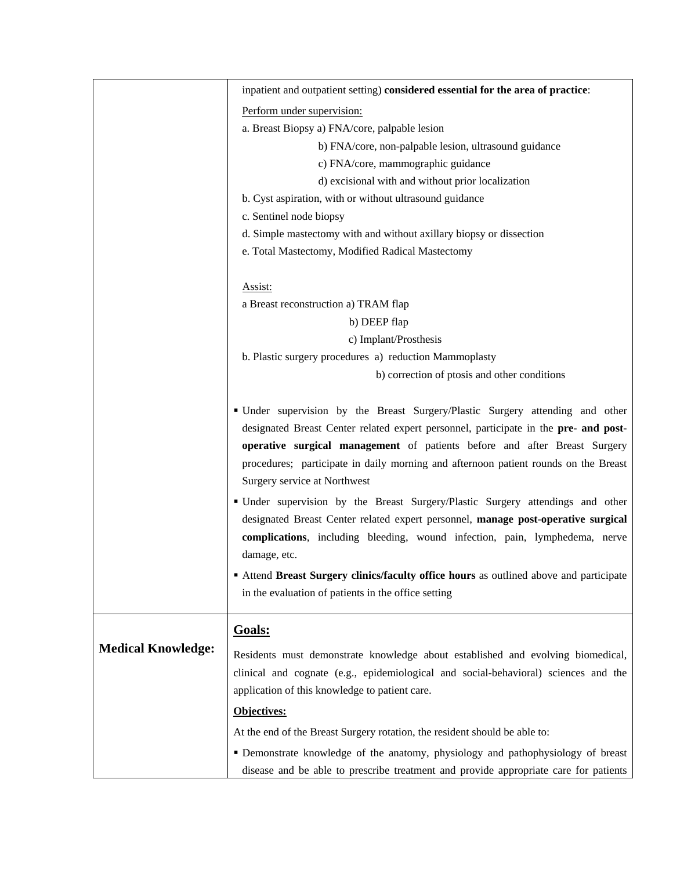|                           | inpatient and outpatient setting) considered essential for the area of practice:                                                                                                                                                                                   |  |  |
|---------------------------|--------------------------------------------------------------------------------------------------------------------------------------------------------------------------------------------------------------------------------------------------------------------|--|--|
|                           | Perform under supervision:                                                                                                                                                                                                                                         |  |  |
|                           | a. Breast Biopsy a) FNA/core, palpable lesion                                                                                                                                                                                                                      |  |  |
|                           | b) FNA/core, non-palpable lesion, ultrasound guidance                                                                                                                                                                                                              |  |  |
|                           | c) FNA/core, mammographic guidance                                                                                                                                                                                                                                 |  |  |
|                           | d) excisional with and without prior localization                                                                                                                                                                                                                  |  |  |
|                           | b. Cyst aspiration, with or without ultrasound guidance<br>c. Sentinel node biopsy<br>d. Simple mastectomy with and without axillary biopsy or dissection                                                                                                          |  |  |
|                           |                                                                                                                                                                                                                                                                    |  |  |
|                           |                                                                                                                                                                                                                                                                    |  |  |
|                           | e. Total Mastectomy, Modified Radical Mastectomy                                                                                                                                                                                                                   |  |  |
|                           |                                                                                                                                                                                                                                                                    |  |  |
|                           | Assist:                                                                                                                                                                                                                                                            |  |  |
|                           | a Breast reconstruction a) TRAM flap                                                                                                                                                                                                                               |  |  |
|                           | b) DEEP flap                                                                                                                                                                                                                                                       |  |  |
|                           | c) Implant/Prosthesis                                                                                                                                                                                                                                              |  |  |
|                           | b. Plastic surgery procedures a) reduction Mammoplasty                                                                                                                                                                                                             |  |  |
|                           | b) correction of ptosis and other conditions                                                                                                                                                                                                                       |  |  |
|                           | • Under supervision by the Breast Surgery/Plastic Surgery attending and other<br>designated Breast Center related expert personnel, participate in the pre- and post-                                                                                              |  |  |
|                           | operative surgical management of patients before and after Breast Surgery<br>procedures; participate in daily morning and afternoon patient rounds on the Breast<br>Surgery service at Northwest                                                                   |  |  |
|                           | · Under supervision by the Breast Surgery/Plastic Surgery attendings and other<br>designated Breast Center related expert personnel, manage post-operative surgical<br>complications, including bleeding, wound infection, pain, lymphedema, nerve<br>damage, etc. |  |  |
|                           | <b>Attend Breast Surgery clinics/faculty office hours</b> as outlined above and participate<br>in the evaluation of patients in the office setting                                                                                                                 |  |  |
|                           | Goals:                                                                                                                                                                                                                                                             |  |  |
| <b>Medical Knowledge:</b> | Residents must demonstrate knowledge about established and evolving biomedical,                                                                                                                                                                                    |  |  |
|                           | clinical and cognate (e.g., epidemiological and social-behavioral) sciences and the                                                                                                                                                                                |  |  |
|                           |                                                                                                                                                                                                                                                                    |  |  |
|                           | application of this knowledge to patient care.<br>Objectives:<br>At the end of the Breast Surgery rotation, the resident should be able to:                                                                                                                        |  |  |
|                           |                                                                                                                                                                                                                                                                    |  |  |
|                           |                                                                                                                                                                                                                                                                    |  |  |
|                           | · Demonstrate knowledge of the anatomy, physiology and pathophysiology of breast<br>disease and be able to prescribe treatment and provide appropriate care for patients                                                                                           |  |  |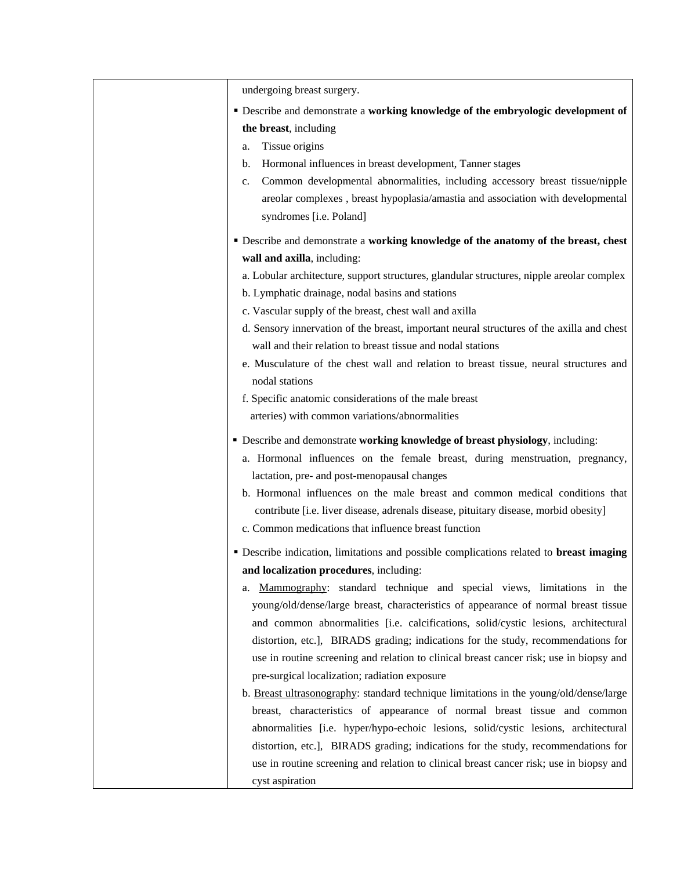| undergoing breast surgery.<br><b>• Describe and demonstrate a working knowledge of the embryologic development of</b><br>the breast, including<br>Tissue origins<br>a.<br>Hormonal influences in breast development, Tanner stages<br>b.<br>Common developmental abnormalities, including accessory breast tissue/nipple<br>c.<br>areolar complexes, breast hypoplasia/amastia and association with developmental<br>syndromes [i.e. Poland]<br><b>• Describe and demonstrate a working knowledge of the anatomy of the breast, chest</b><br>wall and axilla, including:<br>a. Lobular architecture, support structures, glandular structures, nipple areolar complex<br>b. Lymphatic drainage, nodal basins and stations<br>c. Vascular supply of the breast, chest wall and axilla<br>d. Sensory innervation of the breast, important neural structures of the axilla and chest<br>wall and their relation to breast tissue and nodal stations<br>e. Musculature of the chest wall and relation to breast tissue, neural structures and<br>nodal stations<br>f. Specific anatomic considerations of the male breast<br>arteries) with common variations/abnormalities<br>• Describe and demonstrate working knowledge of breast physiology, including:<br>a. Hormonal influences on the female breast, during menstruation, pregnancy,<br>lactation, pre- and post-menopausal changes<br>b. Hormonal influences on the male breast and common medical conditions that<br>contribute [i.e. liver disease, adrenals disease, pituitary disease, morbid obesity]<br>c. Common medications that influence breast function<br><b>• Describe indication, limitations and possible complications related to breast imaging</b><br>and localization procedures, including:<br>Mammography: standard technique and special views, limitations in the<br>a.<br>young/old/dense/large breast, characteristics of appearance of normal breast tissue<br>and common abnormalities [i.e. calcifications, solid/cystic lesions, architectural<br>distortion, etc.], BIRADS grading; indications for the study, recommendations for<br>use in routine screening and relation to clinical breast cancer risk; use in biopsy and<br>pre-surgical localization; radiation exposure<br>b. Breast ultrasonography: standard technique limitations in the young/old/dense/large<br>breast, characteristics of appearance of normal breast tissue and common<br>abnormalities [i.e. hyper/hypo-echoic lesions, solid/cystic lesions, architectural<br>distortion, etc.], BIRADS grading; indications for the study, recommendations for<br>use in routine screening and relation to clinical breast cancer risk; use in biopsy and<br>cyst aspiration |  |
|----------------------------------------------------------------------------------------------------------------------------------------------------------------------------------------------------------------------------------------------------------------------------------------------------------------------------------------------------------------------------------------------------------------------------------------------------------------------------------------------------------------------------------------------------------------------------------------------------------------------------------------------------------------------------------------------------------------------------------------------------------------------------------------------------------------------------------------------------------------------------------------------------------------------------------------------------------------------------------------------------------------------------------------------------------------------------------------------------------------------------------------------------------------------------------------------------------------------------------------------------------------------------------------------------------------------------------------------------------------------------------------------------------------------------------------------------------------------------------------------------------------------------------------------------------------------------------------------------------------------------------------------------------------------------------------------------------------------------------------------------------------------------------------------------------------------------------------------------------------------------------------------------------------------------------------------------------------------------------------------------------------------------------------------------------------------------------------------------------------------------------------------------------------------------------------------------------------------------------------------------------------------------------------------------------------------------------------------------------------------------------------------------------------------------------------------------------------------------------------------------------------------------------------------------------------------------------------------------------------------------------------------------------------------------------------------------------------------------------|--|
|                                                                                                                                                                                                                                                                                                                                                                                                                                                                                                                                                                                                                                                                                                                                                                                                                                                                                                                                                                                                                                                                                                                                                                                                                                                                                                                                                                                                                                                                                                                                                                                                                                                                                                                                                                                                                                                                                                                                                                                                                                                                                                                                                                                                                                                                                                                                                                                                                                                                                                                                                                                                                                                                                                                                  |  |
|                                                                                                                                                                                                                                                                                                                                                                                                                                                                                                                                                                                                                                                                                                                                                                                                                                                                                                                                                                                                                                                                                                                                                                                                                                                                                                                                                                                                                                                                                                                                                                                                                                                                                                                                                                                                                                                                                                                                                                                                                                                                                                                                                                                                                                                                                                                                                                                                                                                                                                                                                                                                                                                                                                                                  |  |
|                                                                                                                                                                                                                                                                                                                                                                                                                                                                                                                                                                                                                                                                                                                                                                                                                                                                                                                                                                                                                                                                                                                                                                                                                                                                                                                                                                                                                                                                                                                                                                                                                                                                                                                                                                                                                                                                                                                                                                                                                                                                                                                                                                                                                                                                                                                                                                                                                                                                                                                                                                                                                                                                                                                                  |  |
|                                                                                                                                                                                                                                                                                                                                                                                                                                                                                                                                                                                                                                                                                                                                                                                                                                                                                                                                                                                                                                                                                                                                                                                                                                                                                                                                                                                                                                                                                                                                                                                                                                                                                                                                                                                                                                                                                                                                                                                                                                                                                                                                                                                                                                                                                                                                                                                                                                                                                                                                                                                                                                                                                                                                  |  |
|                                                                                                                                                                                                                                                                                                                                                                                                                                                                                                                                                                                                                                                                                                                                                                                                                                                                                                                                                                                                                                                                                                                                                                                                                                                                                                                                                                                                                                                                                                                                                                                                                                                                                                                                                                                                                                                                                                                                                                                                                                                                                                                                                                                                                                                                                                                                                                                                                                                                                                                                                                                                                                                                                                                                  |  |
|                                                                                                                                                                                                                                                                                                                                                                                                                                                                                                                                                                                                                                                                                                                                                                                                                                                                                                                                                                                                                                                                                                                                                                                                                                                                                                                                                                                                                                                                                                                                                                                                                                                                                                                                                                                                                                                                                                                                                                                                                                                                                                                                                                                                                                                                                                                                                                                                                                                                                                                                                                                                                                                                                                                                  |  |
|                                                                                                                                                                                                                                                                                                                                                                                                                                                                                                                                                                                                                                                                                                                                                                                                                                                                                                                                                                                                                                                                                                                                                                                                                                                                                                                                                                                                                                                                                                                                                                                                                                                                                                                                                                                                                                                                                                                                                                                                                                                                                                                                                                                                                                                                                                                                                                                                                                                                                                                                                                                                                                                                                                                                  |  |
|                                                                                                                                                                                                                                                                                                                                                                                                                                                                                                                                                                                                                                                                                                                                                                                                                                                                                                                                                                                                                                                                                                                                                                                                                                                                                                                                                                                                                                                                                                                                                                                                                                                                                                                                                                                                                                                                                                                                                                                                                                                                                                                                                                                                                                                                                                                                                                                                                                                                                                                                                                                                                                                                                                                                  |  |
|                                                                                                                                                                                                                                                                                                                                                                                                                                                                                                                                                                                                                                                                                                                                                                                                                                                                                                                                                                                                                                                                                                                                                                                                                                                                                                                                                                                                                                                                                                                                                                                                                                                                                                                                                                                                                                                                                                                                                                                                                                                                                                                                                                                                                                                                                                                                                                                                                                                                                                                                                                                                                                                                                                                                  |  |
|                                                                                                                                                                                                                                                                                                                                                                                                                                                                                                                                                                                                                                                                                                                                                                                                                                                                                                                                                                                                                                                                                                                                                                                                                                                                                                                                                                                                                                                                                                                                                                                                                                                                                                                                                                                                                                                                                                                                                                                                                                                                                                                                                                                                                                                                                                                                                                                                                                                                                                                                                                                                                                                                                                                                  |  |
|                                                                                                                                                                                                                                                                                                                                                                                                                                                                                                                                                                                                                                                                                                                                                                                                                                                                                                                                                                                                                                                                                                                                                                                                                                                                                                                                                                                                                                                                                                                                                                                                                                                                                                                                                                                                                                                                                                                                                                                                                                                                                                                                                                                                                                                                                                                                                                                                                                                                                                                                                                                                                                                                                                                                  |  |
|                                                                                                                                                                                                                                                                                                                                                                                                                                                                                                                                                                                                                                                                                                                                                                                                                                                                                                                                                                                                                                                                                                                                                                                                                                                                                                                                                                                                                                                                                                                                                                                                                                                                                                                                                                                                                                                                                                                                                                                                                                                                                                                                                                                                                                                                                                                                                                                                                                                                                                                                                                                                                                                                                                                                  |  |
|                                                                                                                                                                                                                                                                                                                                                                                                                                                                                                                                                                                                                                                                                                                                                                                                                                                                                                                                                                                                                                                                                                                                                                                                                                                                                                                                                                                                                                                                                                                                                                                                                                                                                                                                                                                                                                                                                                                                                                                                                                                                                                                                                                                                                                                                                                                                                                                                                                                                                                                                                                                                                                                                                                                                  |  |
|                                                                                                                                                                                                                                                                                                                                                                                                                                                                                                                                                                                                                                                                                                                                                                                                                                                                                                                                                                                                                                                                                                                                                                                                                                                                                                                                                                                                                                                                                                                                                                                                                                                                                                                                                                                                                                                                                                                                                                                                                                                                                                                                                                                                                                                                                                                                                                                                                                                                                                                                                                                                                                                                                                                                  |  |
|                                                                                                                                                                                                                                                                                                                                                                                                                                                                                                                                                                                                                                                                                                                                                                                                                                                                                                                                                                                                                                                                                                                                                                                                                                                                                                                                                                                                                                                                                                                                                                                                                                                                                                                                                                                                                                                                                                                                                                                                                                                                                                                                                                                                                                                                                                                                                                                                                                                                                                                                                                                                                                                                                                                                  |  |
|                                                                                                                                                                                                                                                                                                                                                                                                                                                                                                                                                                                                                                                                                                                                                                                                                                                                                                                                                                                                                                                                                                                                                                                                                                                                                                                                                                                                                                                                                                                                                                                                                                                                                                                                                                                                                                                                                                                                                                                                                                                                                                                                                                                                                                                                                                                                                                                                                                                                                                                                                                                                                                                                                                                                  |  |
|                                                                                                                                                                                                                                                                                                                                                                                                                                                                                                                                                                                                                                                                                                                                                                                                                                                                                                                                                                                                                                                                                                                                                                                                                                                                                                                                                                                                                                                                                                                                                                                                                                                                                                                                                                                                                                                                                                                                                                                                                                                                                                                                                                                                                                                                                                                                                                                                                                                                                                                                                                                                                                                                                                                                  |  |
|                                                                                                                                                                                                                                                                                                                                                                                                                                                                                                                                                                                                                                                                                                                                                                                                                                                                                                                                                                                                                                                                                                                                                                                                                                                                                                                                                                                                                                                                                                                                                                                                                                                                                                                                                                                                                                                                                                                                                                                                                                                                                                                                                                                                                                                                                                                                                                                                                                                                                                                                                                                                                                                                                                                                  |  |
|                                                                                                                                                                                                                                                                                                                                                                                                                                                                                                                                                                                                                                                                                                                                                                                                                                                                                                                                                                                                                                                                                                                                                                                                                                                                                                                                                                                                                                                                                                                                                                                                                                                                                                                                                                                                                                                                                                                                                                                                                                                                                                                                                                                                                                                                                                                                                                                                                                                                                                                                                                                                                                                                                                                                  |  |
|                                                                                                                                                                                                                                                                                                                                                                                                                                                                                                                                                                                                                                                                                                                                                                                                                                                                                                                                                                                                                                                                                                                                                                                                                                                                                                                                                                                                                                                                                                                                                                                                                                                                                                                                                                                                                                                                                                                                                                                                                                                                                                                                                                                                                                                                                                                                                                                                                                                                                                                                                                                                                                                                                                                                  |  |
|                                                                                                                                                                                                                                                                                                                                                                                                                                                                                                                                                                                                                                                                                                                                                                                                                                                                                                                                                                                                                                                                                                                                                                                                                                                                                                                                                                                                                                                                                                                                                                                                                                                                                                                                                                                                                                                                                                                                                                                                                                                                                                                                                                                                                                                                                                                                                                                                                                                                                                                                                                                                                                                                                                                                  |  |
|                                                                                                                                                                                                                                                                                                                                                                                                                                                                                                                                                                                                                                                                                                                                                                                                                                                                                                                                                                                                                                                                                                                                                                                                                                                                                                                                                                                                                                                                                                                                                                                                                                                                                                                                                                                                                                                                                                                                                                                                                                                                                                                                                                                                                                                                                                                                                                                                                                                                                                                                                                                                                                                                                                                                  |  |
|                                                                                                                                                                                                                                                                                                                                                                                                                                                                                                                                                                                                                                                                                                                                                                                                                                                                                                                                                                                                                                                                                                                                                                                                                                                                                                                                                                                                                                                                                                                                                                                                                                                                                                                                                                                                                                                                                                                                                                                                                                                                                                                                                                                                                                                                                                                                                                                                                                                                                                                                                                                                                                                                                                                                  |  |
|                                                                                                                                                                                                                                                                                                                                                                                                                                                                                                                                                                                                                                                                                                                                                                                                                                                                                                                                                                                                                                                                                                                                                                                                                                                                                                                                                                                                                                                                                                                                                                                                                                                                                                                                                                                                                                                                                                                                                                                                                                                                                                                                                                                                                                                                                                                                                                                                                                                                                                                                                                                                                                                                                                                                  |  |
|                                                                                                                                                                                                                                                                                                                                                                                                                                                                                                                                                                                                                                                                                                                                                                                                                                                                                                                                                                                                                                                                                                                                                                                                                                                                                                                                                                                                                                                                                                                                                                                                                                                                                                                                                                                                                                                                                                                                                                                                                                                                                                                                                                                                                                                                                                                                                                                                                                                                                                                                                                                                                                                                                                                                  |  |
|                                                                                                                                                                                                                                                                                                                                                                                                                                                                                                                                                                                                                                                                                                                                                                                                                                                                                                                                                                                                                                                                                                                                                                                                                                                                                                                                                                                                                                                                                                                                                                                                                                                                                                                                                                                                                                                                                                                                                                                                                                                                                                                                                                                                                                                                                                                                                                                                                                                                                                                                                                                                                                                                                                                                  |  |
|                                                                                                                                                                                                                                                                                                                                                                                                                                                                                                                                                                                                                                                                                                                                                                                                                                                                                                                                                                                                                                                                                                                                                                                                                                                                                                                                                                                                                                                                                                                                                                                                                                                                                                                                                                                                                                                                                                                                                                                                                                                                                                                                                                                                                                                                                                                                                                                                                                                                                                                                                                                                                                                                                                                                  |  |
|                                                                                                                                                                                                                                                                                                                                                                                                                                                                                                                                                                                                                                                                                                                                                                                                                                                                                                                                                                                                                                                                                                                                                                                                                                                                                                                                                                                                                                                                                                                                                                                                                                                                                                                                                                                                                                                                                                                                                                                                                                                                                                                                                                                                                                                                                                                                                                                                                                                                                                                                                                                                                                                                                                                                  |  |
|                                                                                                                                                                                                                                                                                                                                                                                                                                                                                                                                                                                                                                                                                                                                                                                                                                                                                                                                                                                                                                                                                                                                                                                                                                                                                                                                                                                                                                                                                                                                                                                                                                                                                                                                                                                                                                                                                                                                                                                                                                                                                                                                                                                                                                                                                                                                                                                                                                                                                                                                                                                                                                                                                                                                  |  |
|                                                                                                                                                                                                                                                                                                                                                                                                                                                                                                                                                                                                                                                                                                                                                                                                                                                                                                                                                                                                                                                                                                                                                                                                                                                                                                                                                                                                                                                                                                                                                                                                                                                                                                                                                                                                                                                                                                                                                                                                                                                                                                                                                                                                                                                                                                                                                                                                                                                                                                                                                                                                                                                                                                                                  |  |
|                                                                                                                                                                                                                                                                                                                                                                                                                                                                                                                                                                                                                                                                                                                                                                                                                                                                                                                                                                                                                                                                                                                                                                                                                                                                                                                                                                                                                                                                                                                                                                                                                                                                                                                                                                                                                                                                                                                                                                                                                                                                                                                                                                                                                                                                                                                                                                                                                                                                                                                                                                                                                                                                                                                                  |  |
|                                                                                                                                                                                                                                                                                                                                                                                                                                                                                                                                                                                                                                                                                                                                                                                                                                                                                                                                                                                                                                                                                                                                                                                                                                                                                                                                                                                                                                                                                                                                                                                                                                                                                                                                                                                                                                                                                                                                                                                                                                                                                                                                                                                                                                                                                                                                                                                                                                                                                                                                                                                                                                                                                                                                  |  |
|                                                                                                                                                                                                                                                                                                                                                                                                                                                                                                                                                                                                                                                                                                                                                                                                                                                                                                                                                                                                                                                                                                                                                                                                                                                                                                                                                                                                                                                                                                                                                                                                                                                                                                                                                                                                                                                                                                                                                                                                                                                                                                                                                                                                                                                                                                                                                                                                                                                                                                                                                                                                                                                                                                                                  |  |
|                                                                                                                                                                                                                                                                                                                                                                                                                                                                                                                                                                                                                                                                                                                                                                                                                                                                                                                                                                                                                                                                                                                                                                                                                                                                                                                                                                                                                                                                                                                                                                                                                                                                                                                                                                                                                                                                                                                                                                                                                                                                                                                                                                                                                                                                                                                                                                                                                                                                                                                                                                                                                                                                                                                                  |  |
|                                                                                                                                                                                                                                                                                                                                                                                                                                                                                                                                                                                                                                                                                                                                                                                                                                                                                                                                                                                                                                                                                                                                                                                                                                                                                                                                                                                                                                                                                                                                                                                                                                                                                                                                                                                                                                                                                                                                                                                                                                                                                                                                                                                                                                                                                                                                                                                                                                                                                                                                                                                                                                                                                                                                  |  |
|                                                                                                                                                                                                                                                                                                                                                                                                                                                                                                                                                                                                                                                                                                                                                                                                                                                                                                                                                                                                                                                                                                                                                                                                                                                                                                                                                                                                                                                                                                                                                                                                                                                                                                                                                                                                                                                                                                                                                                                                                                                                                                                                                                                                                                                                                                                                                                                                                                                                                                                                                                                                                                                                                                                                  |  |
|                                                                                                                                                                                                                                                                                                                                                                                                                                                                                                                                                                                                                                                                                                                                                                                                                                                                                                                                                                                                                                                                                                                                                                                                                                                                                                                                                                                                                                                                                                                                                                                                                                                                                                                                                                                                                                                                                                                                                                                                                                                                                                                                                                                                                                                                                                                                                                                                                                                                                                                                                                                                                                                                                                                                  |  |
|                                                                                                                                                                                                                                                                                                                                                                                                                                                                                                                                                                                                                                                                                                                                                                                                                                                                                                                                                                                                                                                                                                                                                                                                                                                                                                                                                                                                                                                                                                                                                                                                                                                                                                                                                                                                                                                                                                                                                                                                                                                                                                                                                                                                                                                                                                                                                                                                                                                                                                                                                                                                                                                                                                                                  |  |
|                                                                                                                                                                                                                                                                                                                                                                                                                                                                                                                                                                                                                                                                                                                                                                                                                                                                                                                                                                                                                                                                                                                                                                                                                                                                                                                                                                                                                                                                                                                                                                                                                                                                                                                                                                                                                                                                                                                                                                                                                                                                                                                                                                                                                                                                                                                                                                                                                                                                                                                                                                                                                                                                                                                                  |  |
|                                                                                                                                                                                                                                                                                                                                                                                                                                                                                                                                                                                                                                                                                                                                                                                                                                                                                                                                                                                                                                                                                                                                                                                                                                                                                                                                                                                                                                                                                                                                                                                                                                                                                                                                                                                                                                                                                                                                                                                                                                                                                                                                                                                                                                                                                                                                                                                                                                                                                                                                                                                                                                                                                                                                  |  |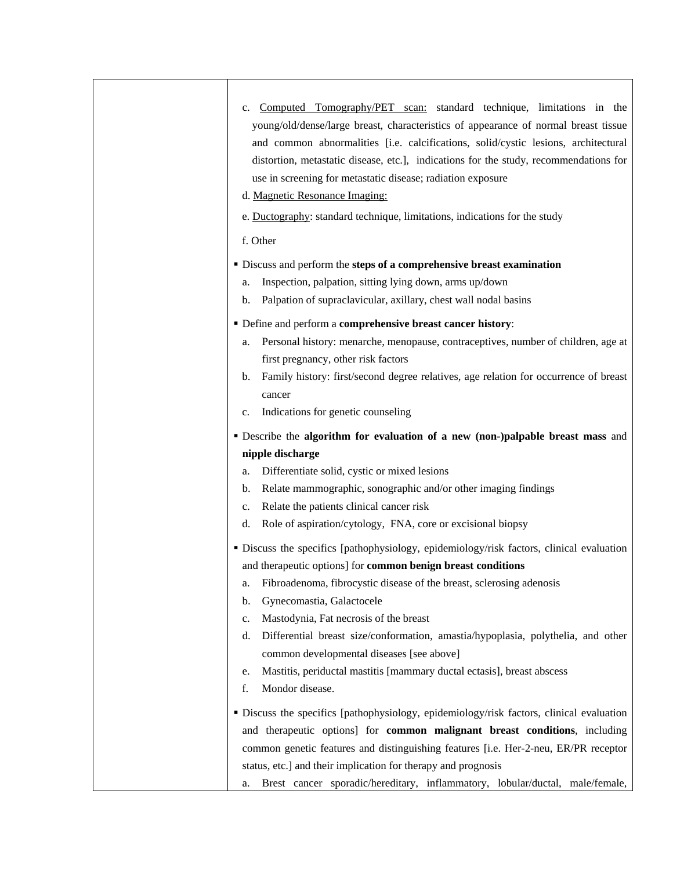| Computed Tomography/PET scan: standard technique, limitations in the<br>$c_{\cdot}$<br>young/old/dense/large breast, characteristics of appearance of normal breast tissue<br>and common abnormalities [i.e. calcifications, solid/cystic lesions, architectural<br>distortion, metastatic disease, etc.], indications for the study, recommendations for<br>use in screening for metastatic disease; radiation exposure<br>d. Magnetic Resonance Imaging:<br>e. Ductography: standard technique, limitations, indications for the study                               |
|------------------------------------------------------------------------------------------------------------------------------------------------------------------------------------------------------------------------------------------------------------------------------------------------------------------------------------------------------------------------------------------------------------------------------------------------------------------------------------------------------------------------------------------------------------------------|
| f. Other                                                                                                                                                                                                                                                                                                                                                                                                                                                                                                                                                               |
| • Discuss and perform the steps of a comprehensive breast examination<br>Inspection, palpation, sitting lying down, arms up/down<br>a.<br>Palpation of supraclavicular, axillary, chest wall nodal basins<br>$\mathbf{b}$ .                                                                                                                                                                                                                                                                                                                                            |
| • Define and perform a comprehensive breast cancer history:<br>Personal history: menarche, menopause, contraceptives, number of children, age at<br>a.<br>first pregnancy, other risk factors<br>Family history: first/second degree relatives, age relation for occurrence of breast<br>b.<br>cancer<br>Indications for genetic counseling<br>c.                                                                                                                                                                                                                      |
| <b>Describe the algorithm for evaluation of a new (non-)palpable breast mass and</b>                                                                                                                                                                                                                                                                                                                                                                                                                                                                                   |
| nipple discharge                                                                                                                                                                                                                                                                                                                                                                                                                                                                                                                                                       |
| Differentiate solid, cystic or mixed lesions<br>a.<br>Relate mammographic, sonographic and/or other imaging findings<br>b.<br>Relate the patients clinical cancer risk<br>c.<br>Role of aspiration/cytology, FNA, core or excisional biopsy<br>d.                                                                                                                                                                                                                                                                                                                      |
| · Discuss the specifics [pathophysiology, epidemiology/risk factors, clinical evaluation<br>and therapeutic options] for common benign breast conditions<br>a. Fibroadenoma, fibrocystic disease of the breast, sclerosing adenosis<br>Gynecomastia, Galactocele<br>b.<br>Mastodynia, Fat necrosis of the breast<br>c.<br>Differential breast size/conformation, amastia/hypoplasia, polythelia, and other<br>d.<br>common developmental diseases [see above]<br>Mastitis, periductal mastitis [mammary ductal ectasis], breast abscess<br>e.<br>Mondor disease.<br>f. |
| • Discuss the specifics [pathophysiology, epidemiology/risk factors, clinical evaluation<br>and therapeutic options] for common malignant breast conditions, including<br>common genetic features and distinguishing features [i.e. Her-2-neu, ER/PR receptor<br>status, etc.] and their implication for therapy and prognosis<br>Brest cancer sporadic/hereditary, inflammatory, lobular/ductal, male/female,<br>a.                                                                                                                                                   |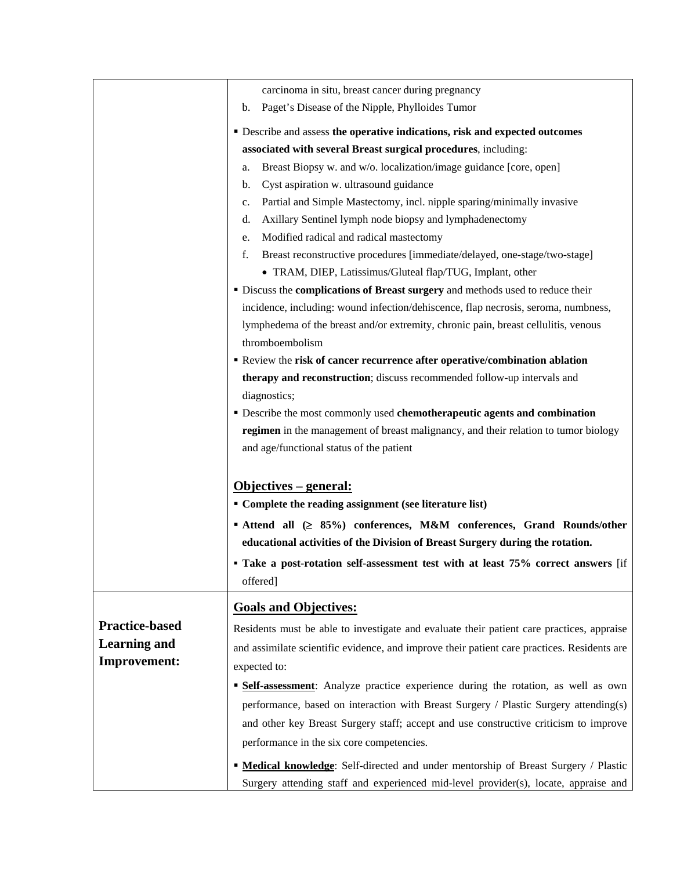|                       | carcinoma in situ, breast cancer during pregnancy                                                                                                                                                                                                                                                    |  |  |
|-----------------------|------------------------------------------------------------------------------------------------------------------------------------------------------------------------------------------------------------------------------------------------------------------------------------------------------|--|--|
|                       | Paget's Disease of the Nipple, Phylloides Tumor<br>b.                                                                                                                                                                                                                                                |  |  |
|                       | • Describe and assess the operative indications, risk and expected outcomes                                                                                                                                                                                                                          |  |  |
|                       | associated with several Breast surgical procedures, including:                                                                                                                                                                                                                                       |  |  |
|                       | Breast Biopsy w. and w/o. localization/image guidance [core, open]<br>a.                                                                                                                                                                                                                             |  |  |
|                       | Cyst aspiration w. ultrasound guidance<br>b.                                                                                                                                                                                                                                                         |  |  |
|                       | Partial and Simple Mastectomy, incl. nipple sparing/minimally invasive<br>c.                                                                                                                                                                                                                         |  |  |
|                       | Axillary Sentinel lymph node biopsy and lymphadenectomy<br>d.                                                                                                                                                                                                                                        |  |  |
|                       | Modified radical and radical mastectomy<br>e.                                                                                                                                                                                                                                                        |  |  |
|                       | f.<br>Breast reconstructive procedures [immediate/delayed, one-stage/two-stage]                                                                                                                                                                                                                      |  |  |
|                       | • TRAM, DIEP, Latissimus/Gluteal flap/TUG, Implant, other                                                                                                                                                                                                                                            |  |  |
|                       | • Discuss the complications of Breast surgery and methods used to reduce their                                                                                                                                                                                                                       |  |  |
|                       | incidence, including: wound infection/dehiscence, flap necrosis, seroma, numbness,                                                                                                                                                                                                                   |  |  |
|                       | lymphedema of the breast and/or extremity, chronic pain, breast cellulitis, venous                                                                                                                                                                                                                   |  |  |
|                       | thromboembolism                                                                                                                                                                                                                                                                                      |  |  |
|                       | Review the risk of cancer recurrence after operative/combination ablation                                                                                                                                                                                                                            |  |  |
|                       | therapy and reconstruction; discuss recommended follow-up intervals and                                                                                                                                                                                                                              |  |  |
|                       | diagnostics;                                                                                                                                                                                                                                                                                         |  |  |
|                       | • Describe the most commonly used chemotherapeutic agents and combination                                                                                                                                                                                                                            |  |  |
|                       | regimen in the management of breast malignancy, and their relation to tumor biology<br>and age/functional status of the patient<br><u> Objectives – general:</u><br>• Complete the reading assignment (see literature list)<br>■ Attend all (≥ 85%) conferences, M&M conferences, Grand Rounds/other |  |  |
|                       |                                                                                                                                                                                                                                                                                                      |  |  |
|                       |                                                                                                                                                                                                                                                                                                      |  |  |
|                       |                                                                                                                                                                                                                                                                                                      |  |  |
|                       |                                                                                                                                                                                                                                                                                                      |  |  |
|                       | educational activities of the Division of Breast Surgery during the rotation.                                                                                                                                                                                                                        |  |  |
|                       | · Take a post-rotation self-assessment test with at least 75% correct answers [if                                                                                                                                                                                                                    |  |  |
|                       | offered]                                                                                                                                                                                                                                                                                             |  |  |
|                       | <b>Goals and Objectives:</b>                                                                                                                                                                                                                                                                         |  |  |
| <b>Practice-based</b> | Residents must be able to investigate and evaluate their patient care practices, appraise                                                                                                                                                                                                            |  |  |
| <b>Learning and</b>   | and assimilate scientific evidence, and improve their patient care practices. Residents are                                                                                                                                                                                                          |  |  |
| <b>Improvement:</b>   | expected to:                                                                                                                                                                                                                                                                                         |  |  |
|                       | · Self-assessment: Analyze practice experience during the rotation, as well as own                                                                                                                                                                                                                   |  |  |
|                       | performance, based on interaction with Breast Surgery / Plastic Surgery attending(s)                                                                                                                                                                                                                 |  |  |
|                       | and other key Breast Surgery staff; accept and use constructive criticism to improve                                                                                                                                                                                                                 |  |  |
|                       | performance in the six core competencies.                                                                                                                                                                                                                                                            |  |  |
|                       | " Medical knowledge: Self-directed and under mentorship of Breast Surgery / Plastic                                                                                                                                                                                                                  |  |  |
|                       |                                                                                                                                                                                                                                                                                                      |  |  |
|                       | Surgery attending staff and experienced mid-level provider(s), locate, appraise and                                                                                                                                                                                                                  |  |  |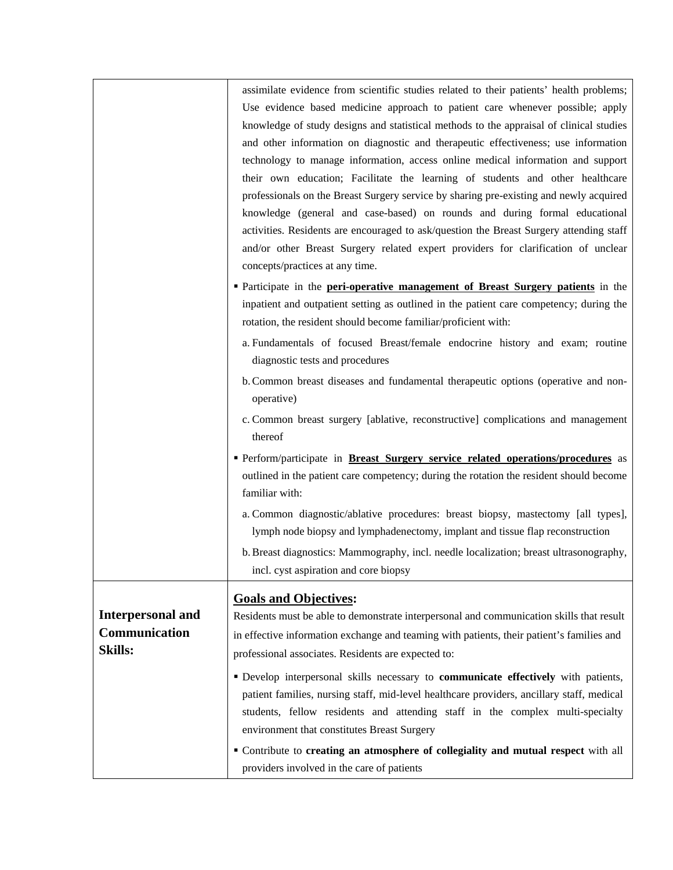|                                 | assimilate evidence from scientific studies related to their patients' health problems;   |  |  |  |
|---------------------------------|-------------------------------------------------------------------------------------------|--|--|--|
|                                 | Use evidence based medicine approach to patient care whenever possible; apply             |  |  |  |
|                                 | knowledge of study designs and statistical methods to the appraisal of clinical studies   |  |  |  |
|                                 | and other information on diagnostic and therapeutic effectiveness; use information        |  |  |  |
|                                 | technology to manage information, access online medical information and support           |  |  |  |
|                                 | their own education; Facilitate the learning of students and other healthcare             |  |  |  |
|                                 | professionals on the Breast Surgery service by sharing pre-existing and newly acquired    |  |  |  |
|                                 | knowledge (general and case-based) on rounds and during formal educational                |  |  |  |
|                                 | activities. Residents are encouraged to ask/question the Breast Surgery attending staff   |  |  |  |
|                                 | and/or other Breast Surgery related expert providers for clarification of unclear         |  |  |  |
|                                 | concepts/practices at any time.                                                           |  |  |  |
|                                 | <b>Participate in the peri-operative management of Breast Surgery patients</b> in the     |  |  |  |
|                                 | inpatient and outpatient setting as outlined in the patient care competency; during the   |  |  |  |
|                                 | rotation, the resident should become familiar/proficient with:                            |  |  |  |
|                                 | a. Fundamentals of focused Breast/female endocrine history and exam; routine              |  |  |  |
| diagnostic tests and procedures |                                                                                           |  |  |  |
|                                 | b. Common breast diseases and fundamental therapeutic options (operative and non-         |  |  |  |
|                                 | operative)                                                                                |  |  |  |
|                                 | c. Common breast surgery [ablative, reconstructive] complications and management          |  |  |  |
|                                 | thereof                                                                                   |  |  |  |
|                                 | Perform/participate in <b>Breast Surgery service related operations/procedures</b> as     |  |  |  |
|                                 | outlined in the patient care competency; during the rotation the resident should become   |  |  |  |
|                                 | familiar with:                                                                            |  |  |  |
|                                 | a. Common diagnostic/ablative procedures: breast biopsy, mastectomy [all types],          |  |  |  |
|                                 | lymph node biopsy and lymphadenectomy, implant and tissue flap reconstruction             |  |  |  |
|                                 | b. Breast diagnostics: Mammography, incl. needle localization; breast ultrasonography,    |  |  |  |
|                                 | incl. cyst aspiration and core biopsy                                                     |  |  |  |
|                                 | <b>Goals and Objectives:</b>                                                              |  |  |  |
| <b>Interpersonal and</b>        | Residents must be able to demonstrate interpersonal and communication skills that result  |  |  |  |
| Communication                   |                                                                                           |  |  |  |
| <b>Skills:</b>                  | in effective information exchange and teaming with patients, their patient's families and |  |  |  |
|                                 | professional associates. Residents are expected to:                                       |  |  |  |
|                                 | · Develop interpersonal skills necessary to communicate effectively with patients,        |  |  |  |
|                                 | patient families, nursing staff, mid-level healthcare providers, ancillary staff, medical |  |  |  |
|                                 | students, fellow residents and attending staff in the complex multi-specialty             |  |  |  |
|                                 | environment that constitutes Breast Surgery                                               |  |  |  |
|                                 | " Contribute to creating an atmosphere of collegiality and mutual respect with all        |  |  |  |
|                                 | providers involved in the care of patients                                                |  |  |  |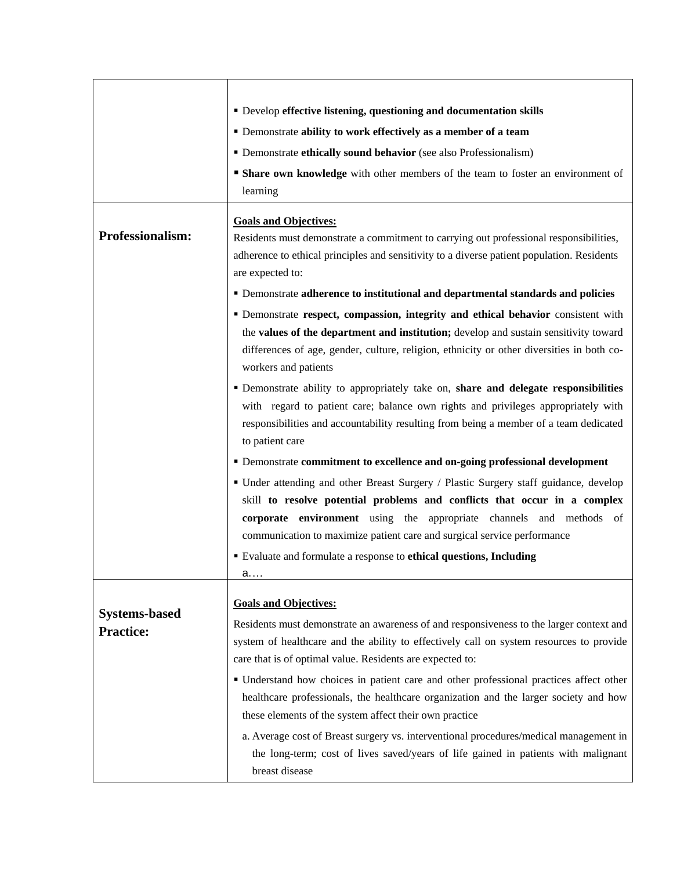|                      | • Develop effective listening, questioning and documentation skills                        |  |  |
|----------------------|--------------------------------------------------------------------------------------------|--|--|
|                      | " Demonstrate ability to work effectively as a member of a team                            |  |  |
|                      | • Demonstrate ethically sound behavior (see also Professionalism)                          |  |  |
|                      | • Share own knowledge with other members of the team to foster an environment of           |  |  |
|                      | learning                                                                                   |  |  |
|                      | <b>Goals and Objectives:</b>                                                               |  |  |
| Professionalism:     | Residents must demonstrate a commitment to carrying out professional responsibilities,     |  |  |
|                      | adherence to ethical principles and sensitivity to a diverse patient population. Residents |  |  |
|                      | are expected to:                                                                           |  |  |
|                      | " Demonstrate adherence to institutional and departmental standards and policies           |  |  |
|                      | " Demonstrate respect, compassion, integrity and ethical behavior consistent with          |  |  |
|                      | the values of the department and institution; develop and sustain sensitivity toward       |  |  |
|                      | differences of age, gender, culture, religion, ethnicity or other diversities in both co-  |  |  |
|                      | workers and patients                                                                       |  |  |
|                      | • Demonstrate ability to appropriately take on, share and delegate responsibilities        |  |  |
|                      | with regard to patient care; balance own rights and privileges appropriately with          |  |  |
|                      | responsibilities and accountability resulting from being a member of a team dedicated      |  |  |
|                      | to patient care                                                                            |  |  |
|                      | " Demonstrate commitment to excellence and on-going professional development               |  |  |
|                      | • Under attending and other Breast Surgery / Plastic Surgery staff guidance, develop       |  |  |
|                      | skill to resolve potential problems and conflicts that occur in a complex                  |  |  |
|                      | corporate environment using the appropriate channels and methods of                        |  |  |
|                      | communication to maximize patient care and surgical service performance                    |  |  |
|                      | Evaluate and formulate a response to ethical questions, Including                          |  |  |
|                      | a.                                                                                         |  |  |
|                      | <b>Goals and Objectives:</b>                                                               |  |  |
| <b>Systems-based</b> | Residents must demonstrate an awareness of and responsiveness to the larger context and    |  |  |
| <b>Practice:</b>     | system of healthcare and the ability to effectively call on system resources to provide    |  |  |
|                      | care that is of optimal value. Residents are expected to:                                  |  |  |
|                      | · Understand how choices in patient care and other professional practices affect other     |  |  |
|                      | healthcare professionals, the healthcare organization and the larger society and how       |  |  |
|                      | these elements of the system affect their own practice                                     |  |  |
|                      | a. Average cost of Breast surgery vs. interventional procedures/medical management in      |  |  |
|                      | the long-term; cost of lives saved/years of life gained in patients with malignant         |  |  |
|                      | breast disease                                                                             |  |  |